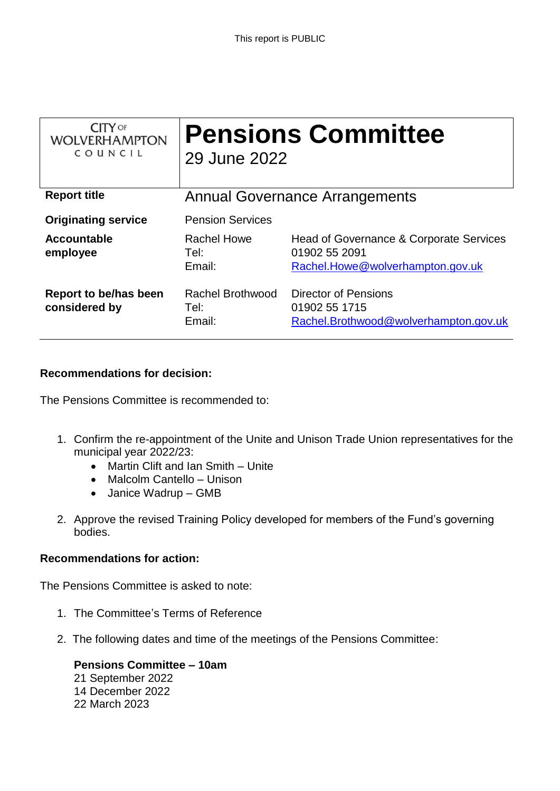| <b>CITY OF</b><br><b>WOLVERHAMPTON</b><br>COUNCIL | <b>Pensions Committee</b><br>29 June 2022 |                                                                                              |
|---------------------------------------------------|-------------------------------------------|----------------------------------------------------------------------------------------------|
| <b>Report title</b>                               | <b>Annual Governance Arrangements</b>     |                                                                                              |
| <b>Originating service</b>                        | <b>Pension Services</b>                   |                                                                                              |
| Accountable<br>employee                           | Rachel Howe<br>Tel:<br>Email:             | Head of Governance & Corporate Services<br>01902 55 2091<br>Rachel.Howe@wolverhampton.gov.uk |
| Report to be/has been<br>considered by            | Rachel Brothwood<br>Tel:<br>Email:        | <b>Director of Pensions</b><br>01902 55 1715<br>Rachel.Brothwood@wolverhampton.gov.uk        |

# **Recommendations for decision:**

The Pensions Committee is recommended to:

- 1. Confirm the re-appointment of the Unite and Unison Trade Union representatives for the municipal year 2022/23:
	- Martin Clift and Ian Smith Unite
	- Malcolm Cantello Unison
	- Janice Wadrup GMB
- 2. Approve the revised Training Policy developed for members of the Fund's governing bodies.

# **Recommendations for action:**

The Pensions Committee is asked to note:

- 1. The Committee's Terms of Reference
- 2. The following dates and time of the meetings of the Pensions Committee:

**Pensions Committee – 10am** September 2022 December 2022 March 2023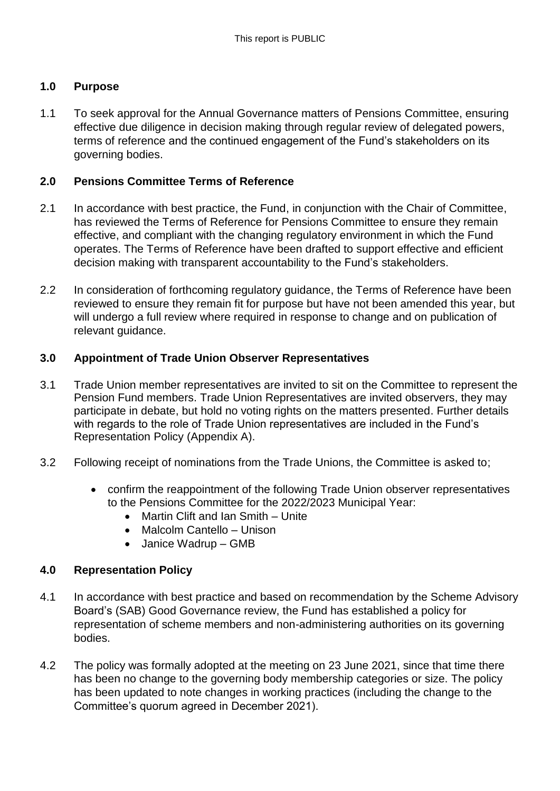# **1.0 Purpose**

1.1 To seek approval for the Annual Governance matters of Pensions Committee, ensuring effective due diligence in decision making through regular review of delegated powers, terms of reference and the continued engagement of the Fund's stakeholders on its governing bodies.

# **2.0 Pensions Committee Terms of Reference**

- 2.1 In accordance with best practice, the Fund, in conjunction with the Chair of Committee, has reviewed the Terms of Reference for Pensions Committee to ensure they remain effective, and compliant with the changing regulatory environment in which the Fund operates. The Terms of Reference have been drafted to support effective and efficient decision making with transparent accountability to the Fund's stakeholders.
- 2.2 In consideration of forthcoming regulatory guidance, the Terms of Reference have been reviewed to ensure they remain fit for purpose but have not been amended this year, but will undergo a full review where required in response to change and on publication of relevant guidance.

# **3.0 Appointment of Trade Union Observer Representatives**

- 3.1 Trade Union member representatives are invited to sit on the Committee to represent the Pension Fund members. Trade Union Representatives are invited observers, they may participate in debate, but hold no voting rights on the matters presented. Further details with regards to the role of Trade Union representatives are included in the Fund's Representation Policy (Appendix A).
- 3.2 Following receipt of nominations from the Trade Unions, the Committee is asked to;
	- confirm the reappointment of the following Trade Union observer representatives to the Pensions Committee for the 2022/2023 Municipal Year:
		- Martin Clift and Ian Smith Unite
		- Malcolm Cantello Unison
		- Janice Wadrup GMB

#### **4.0 Representation Policy**

- 4.1 In accordance with best practice and based on recommendation by the Scheme Advisory Board's (SAB) Good Governance review, the Fund has established a policy for representation of scheme members and non-administering authorities on its governing bodies.
- 4.2 The policy was formally adopted at the meeting on 23 June 2021, since that time there has been no change to the governing body membership categories or size. The policy has been updated to note changes in working practices (including the change to the Committee's quorum agreed in December 2021).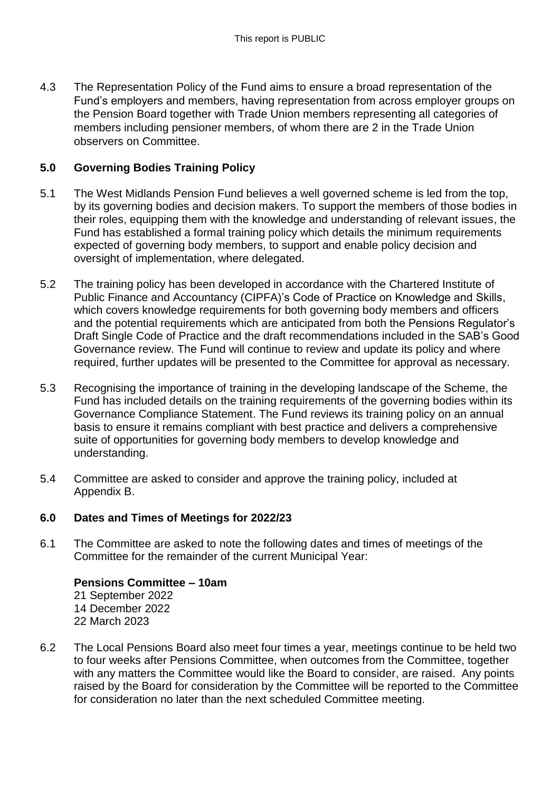4.3 The Representation Policy of the Fund aims to ensure a broad representation of the Fund's employers and members, having representation from across employer groups on the Pension Board together with Trade Union members representing all categories of members including pensioner members, of whom there are 2 in the Trade Union observers on Committee.

# **5.0 Governing Bodies Training Policy**

- 5.1 The West Midlands Pension Fund believes a well governed scheme is led from the top, by its governing bodies and decision makers. To support the members of those bodies in their roles, equipping them with the knowledge and understanding of relevant issues, the Fund has established a formal training policy which details the minimum requirements expected of governing body members, to support and enable policy decision and oversight of implementation, where delegated.
- 5.2 The training policy has been developed in accordance with the Chartered Institute of Public Finance and Accountancy (CIPFA)'s Code of Practice on Knowledge and Skills, which covers knowledge requirements for both governing body members and officers and the potential requirements which are anticipated from both the Pensions Regulator's Draft Single Code of Practice and the draft recommendations included in the SAB's Good Governance review. The Fund will continue to review and update its policy and where required, further updates will be presented to the Committee for approval as necessary.
- 5.3 Recognising the importance of training in the developing landscape of the Scheme, the Fund has included details on the training requirements of the governing bodies within its Governance Compliance Statement. The Fund reviews its training policy on an annual basis to ensure it remains compliant with best practice and delivers a comprehensive suite of opportunities for governing body members to develop knowledge and understanding.
- 5.4 Committee are asked to consider and approve the training policy, included at Appendix B.

# **6.0 Dates and Times of Meetings for 2022/23**

6.1 The Committee are asked to note the following dates and times of meetings of the Committee for the remainder of the current Municipal Year:

**Pensions Committee – 10am** September 2022 December 2022 March 2023

6.2 The Local Pensions Board also meet four times a year, meetings continue to be held two to four weeks after Pensions Committee, when outcomes from the Committee, together with any matters the Committee would like the Board to consider, are raised. Any points raised by the Board for consideration by the Committee will be reported to the Committee for consideration no later than the next scheduled Committee meeting.